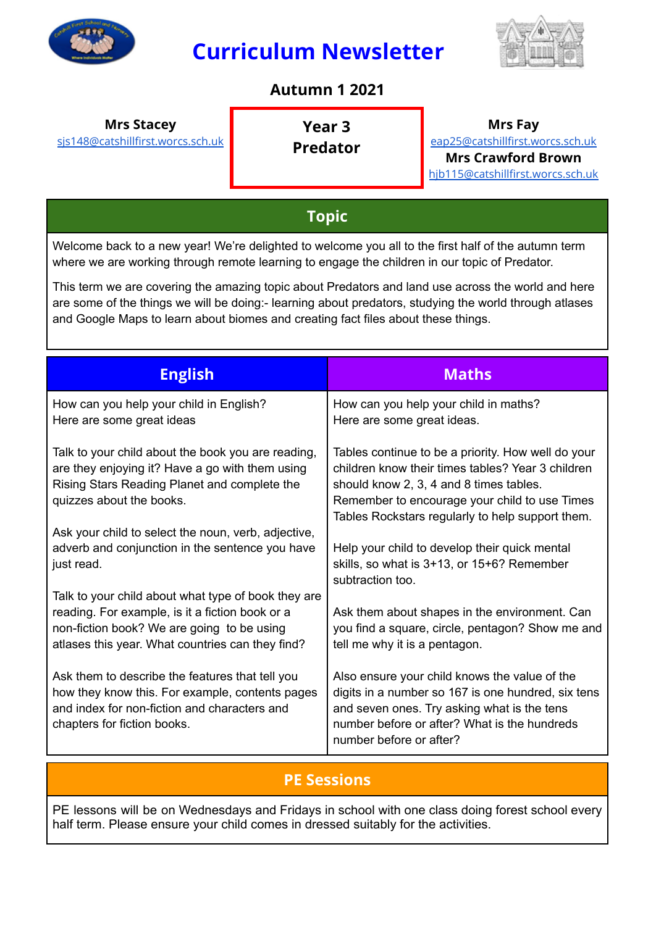

# **Curriculum Newsletter**



#### **Autumn 1 2021**

#### **Mrs Stacey Year 3**

[sjs148@catshillfirst.worcs.sch.uk](mailto:sjs148@catshillfirst.worcs.sch.uk)

**Predator**

**Mrs Fay** [eap25@catshillfirst.worcs.sch.uk](mailto:eap25@catshillfirst.worcs.sch.uk) **Mrs Crawford Brown** [hjb115@catshillfirst.worcs.sch.uk](mailto:hjb115@catshillfirst.worcs.sch.uk)

# **Topic**

Welcome back to a new year! We're delighted to welcome you all to the first half of the autumn term where we are working through remote learning to engage the children in our topic of Predator.

This term we are covering the amazing topic about Predators and land use across the world and here are some of the things we will be doing:- learning about predators, studying the world through atlases and Google Maps to learn about biomes and creating fact files about these things.

| <b>English</b>                                                                                                                                                                                           | <b>Maths</b>                                                                                                                                                                                                                                            |
|----------------------------------------------------------------------------------------------------------------------------------------------------------------------------------------------------------|---------------------------------------------------------------------------------------------------------------------------------------------------------------------------------------------------------------------------------------------------------|
| How can you help your child in English?<br>Here are some great ideas                                                                                                                                     | How can you help your child in maths?<br>Here are some great ideas.                                                                                                                                                                                     |
| Talk to your child about the book you are reading,<br>are they enjoying it? Have a go with them using<br>Rising Stars Reading Planet and complete the<br>quizzes about the books.                        | Tables continue to be a priority. How well do your<br>children know their times tables? Year 3 children<br>should know 2, 3, 4 and 8 times tables.<br>Remember to encourage your child to use Times<br>Tables Rockstars regularly to help support them. |
| Ask your child to select the noun, verb, adjective,<br>adverb and conjunction in the sentence you have<br>just read.                                                                                     | Help your child to develop their quick mental<br>skills, so what is 3+13, or 15+6? Remember<br>subtraction too.                                                                                                                                         |
| Talk to your child about what type of book they are<br>reading. For example, is it a fiction book or a<br>non-fiction book? We are going to be using<br>atlases this year. What countries can they find? | Ask them about shapes in the environment. Can<br>you find a square, circle, pentagon? Show me and<br>tell me why it is a pentagon.                                                                                                                      |
| Ask them to describe the features that tell you<br>how they know this. For example, contents pages<br>and index for non-fiction and characters and<br>chapters for fiction books.                        | Also ensure your child knows the value of the<br>digits in a number so 167 is one hundred, six tens<br>and seven ones. Try asking what is the tens<br>number before or after? What is the hundreds<br>number before or after?                           |

### **PE Sessions**

PE lessons will be on Wednesdays and Fridays in school with one class doing forest school every half term. Please ensure your child comes in dressed suitably for the activities.